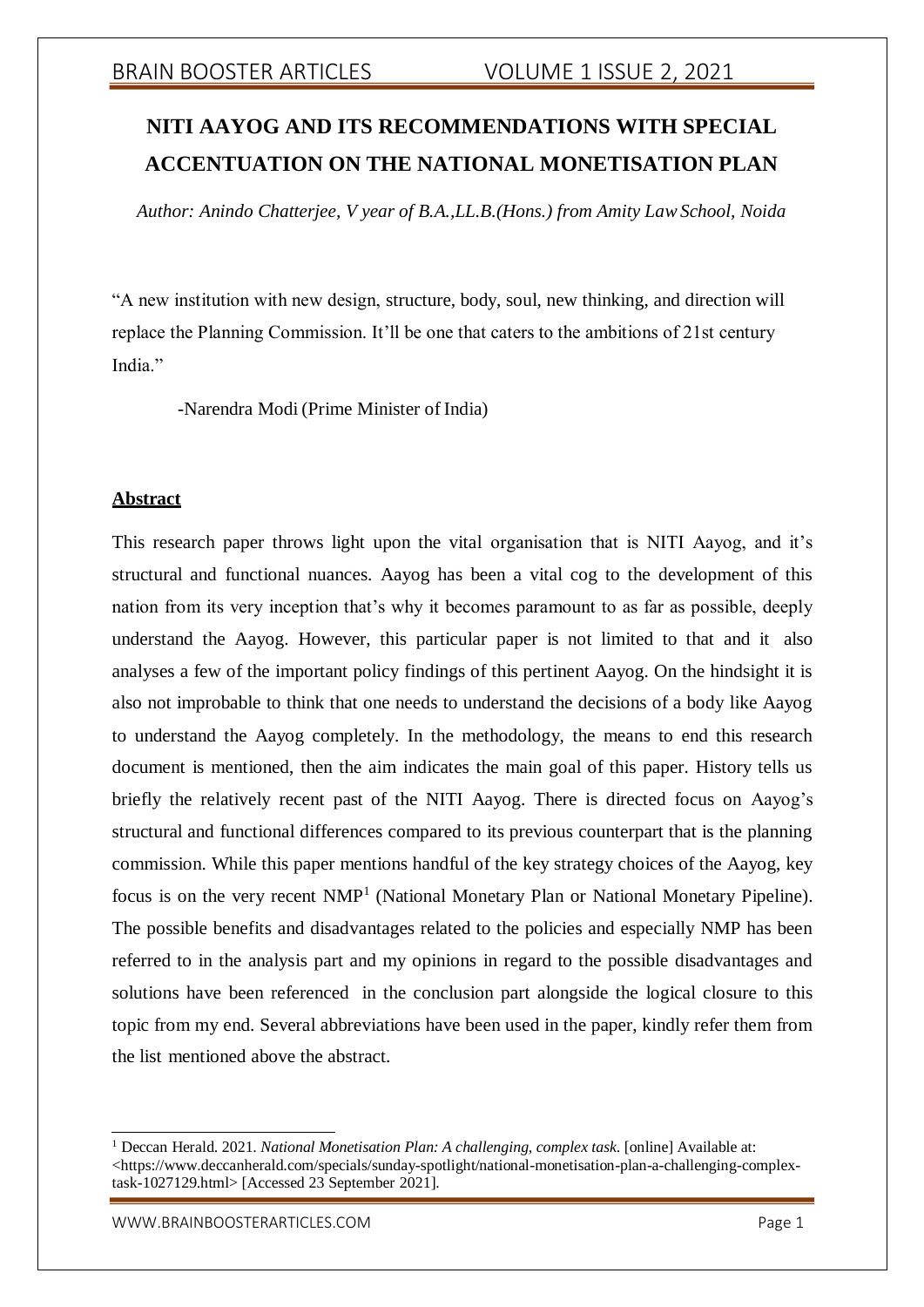# **NITI AAYOG AND ITS RECOMMENDATIONS WITH SPECIAL ACCENTUATION ON THE NATIONAL MONETISATION PLAN**

*Author: Anindo Chatterjee, V year of B.A.,LL.B.(Hons.) from Amity LawSchool, Noida*

"A new institution with new design, structure, body, soul, new thinking, and direction will replace the Planning Commission. It'll be one that caters to the ambitions of 21st century India."

-Narendra Modi (Prime Minister of India)

# **Abstract**

This research paper throws light upon the vital organisation that is NITI Aayog, and it's structural and functional nuances. Aayog has been a vital cog to the development of this nation from its very inception that's why it becomes paramount to as far as possible, deeply understand the Aayog. However, this particular paper is not limited to that and it also analyses a few of the important policy findings of this pertinent Aayog. On the hindsight it is also not improbable to think that one needs to understand the decisions of a body like Aayog to understand the Aayog completely. In the methodology, the means to end this research document is mentioned, then the aim indicates the main goal of this paper. History tells us briefly the relatively recent past of the NITI Aayog. There is directed focus on Aayog's structural and functional differences compared to its previous counterpart that is the planning commission. While this paper mentions handful of the key strategy choices of the Aayog, key focus is on the very recent NMP<sup>1</sup> (National Monetary Plan or National Monetary Pipeline). The possible benefits and disadvantages related to the policies and especially NMP has been referred to in the analysis part and my opinions in regard to the possible disadvantages and solutions have been referenced in the conclusion part alongside the logical closure to this topic from my end. Several abbreviations have been used in the paper, kindly refer them from the list mentioned above the abstract.

<sup>1</sup> Deccan Herald. 2021. *National Monetisation Plan: A challenging, complex task*. [online] Available at: <https:[//www.deccanherald.com/specials/sunday-spotlight/national-monetisation-plan-a-challenging-complex](http://www.deccanherald.com/specials/sunday-spotlight/national-monetisation-plan-a-challenging-complex-)task-1027129.html> [Accessed 23 September 2021].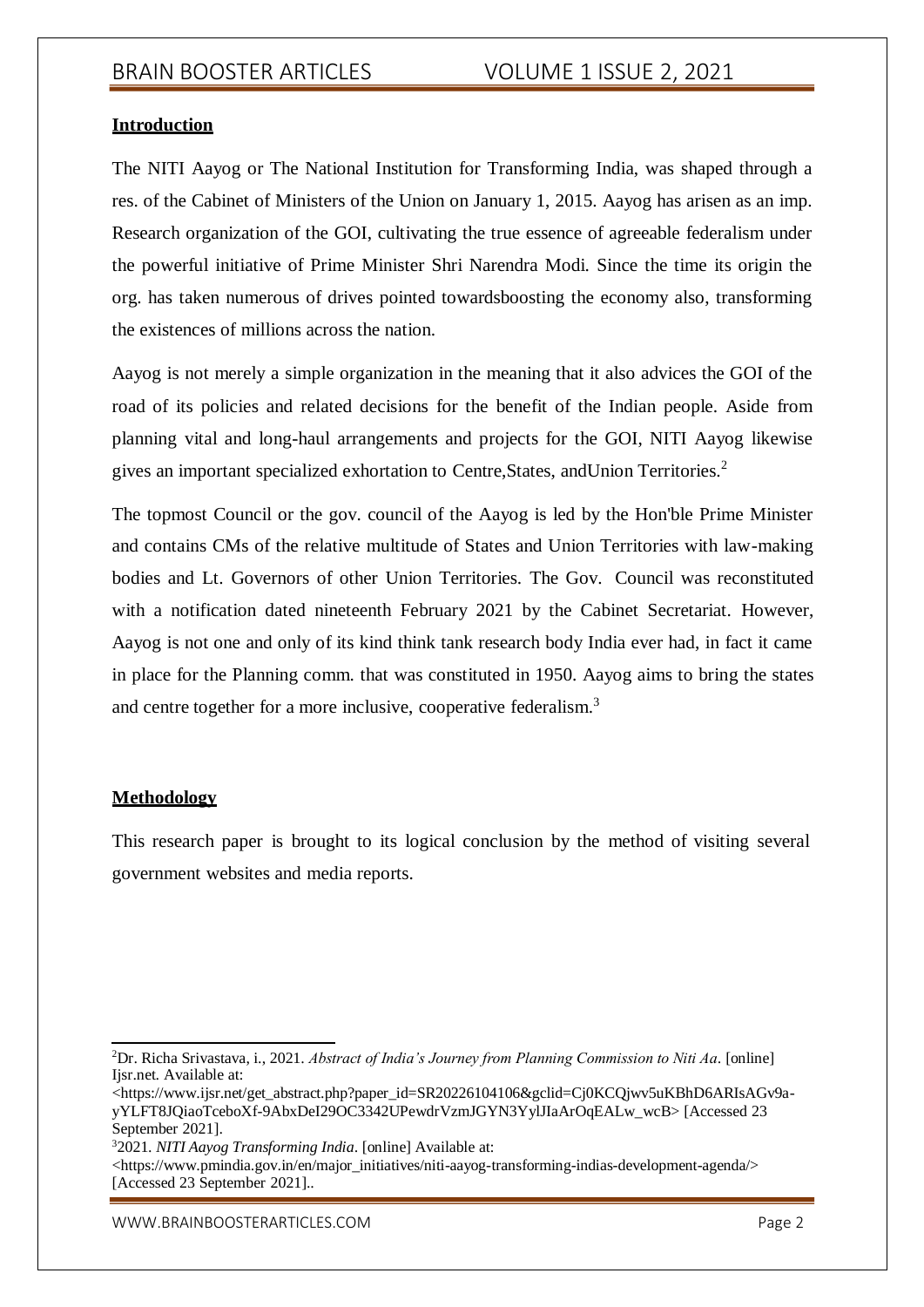### **Introduction**

The NITI Aayog or The National Institution for Transforming India, was shaped through a res. of the Cabinet of Ministers of the Union on January 1, 2015. Aayog has arisen as an imp. Research organization of the GOI, cultivating the true essence of agreeable federalism under the powerful initiative of Prime Minister Shri Narendra Modi. Since the time its origin the org. has taken numerous of drives pointed towardsboosting the economy also, transforming the existences of millions across the nation.

Aayog is not merely a simple organization in the meaning that it also advices the GOI of the road of its policies and related decisions for the benefit of the Indian people. Aside from planning vital and long-haul arrangements and projects for the GOI, NITI Aayog likewise gives an important specialized exhortation to Centre,States, andUnion Territories.<sup>2</sup>

The topmost Council or the gov. council of the Aayog is led by the Hon'ble Prime Minister and contains CMs of the relative multitude of States and Union Territories with law-making bodies and Lt. Governors of other Union Territories. The Gov. Council was reconstituted with a notification dated nineteenth February 2021 by the Cabinet Secretariat. However, Aayog is not one and only of its kind think tank research body India ever had, in fact it came in place for the Planning comm. that was constituted in 1950. Aayog aims to bring the states and centre together for a more inclusive, cooperative federalism.<sup>3</sup>

# **Methodology**

This research paper is brought to its logical conclusion by the method of visiting several government websites and media reports.

<sup>3</sup>2021. *NITI Aayog Transforming India*. [online] Available at:

<https:/[/www.pmindia.gov.in/en/major\\_initiatives/niti-aayog-transforming-indias-development-agenda/>](http://www.pmindia.gov.in/en/major_initiatives/niti-aayog-transforming-indias-development-agenda/) [Accessed 23 September 2021]..

<sup>2</sup>Dr. Richa Srivastava, i., 2021. *Abstract of India's Journey from Planning Commission to Niti Aa*. [online] Ijsr.net. Available at:

<sup>&</sup>lt;https:/[/www.ijsr.net/get\\_abstract.php?paper\\_id=SR20226104106&gclid=Cj0KCQjwv5uKBhD6ARIsAGv9a](http://www.ijsr.net/get_abstract.php?paper_id=SR20226104106&gclid=Cj0KCQjwv5uKBhD6ARIsAGv9a-)yYLFT8JQiaoTceboXf-9AbxDeI29OC3342UPewdrVzmJGYN3YylJIaArOqEALw\_wcB> [Accessed 23 September 2021].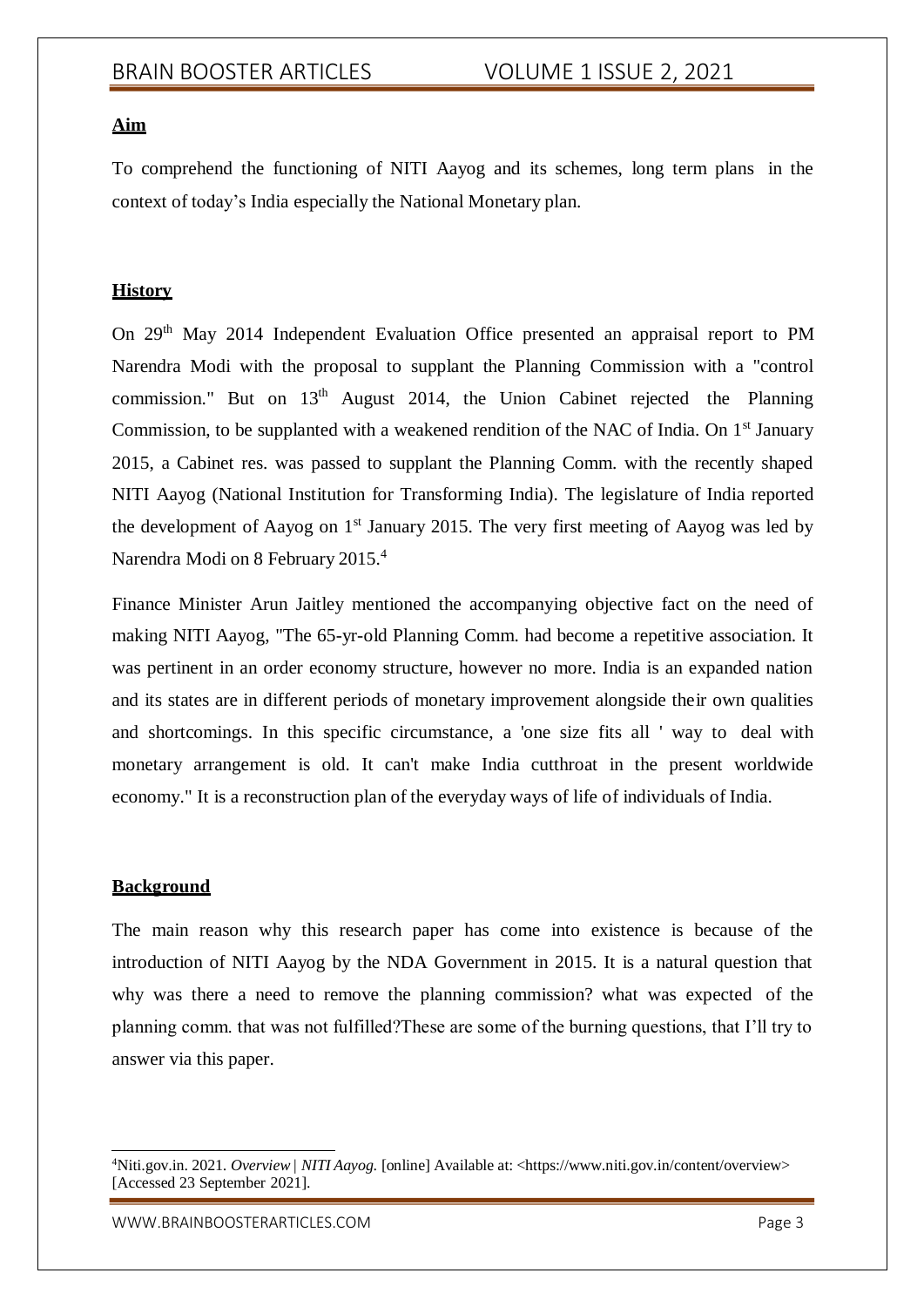# **Aim**

To comprehend the functioning of NITI Aayog and its schemes, long term plans in the context of today's India especially the National Monetary plan.

# **History**

On 29th May 2014 Independent Evaluation Office presented an appraisal report to PM Narendra Modi with the proposal to supplant the Planning Commission with a "control commission." But on  $13<sup>th</sup>$  August 2014, the Union Cabinet rejected the Planning Commission, to be supplanted with a weakened rendition of the NAC of India. On  $1<sup>st</sup>$  January 2015, a Cabinet res. was passed to supplant the Planning Comm. with the recently shaped NITI Aayog (National Institution for Transforming India). The legislature of India reported the development of Aayog on  $1<sup>st</sup>$  January 2015. The very first meeting of Aayog was led by Narendra Modi on 8 February 2015.<sup>4</sup>

Finance Minister Arun Jaitley mentioned the accompanying objective fact on the need of making NITI Aayog, "The 65-yr-old Planning Comm. had become a repetitive association. It was pertinent in an order economy structure, however no more. India is an expanded nation and its states are in different periods of monetary improvement alongside their own qualities and shortcomings. In this specific circumstance, a 'one size fits all ' way to deal with monetary arrangement is old. It can't make India cutthroat in the present worldwide economy." It is a reconstruction plan of the everyday ways of life of individuals of India.

## **Background**

The main reason why this research paper has come into existence is because of the introduction of NITI Aayog by the NDA Government in 2015. It is a natural question that why was there a need to remove the planning commission? what was expected of the planning comm. that was not fulfilled?These are some of the burning questions, that I'll try to answer via this paper.

<sup>4</sup>Niti.gov.in. 2021. *Overview| NITI Aayog*. [online] Available at: <https:/[/www.niti.gov.in/content/overview>](http://www.niti.gov.in/content/overview) [Accessed 23 September 2021].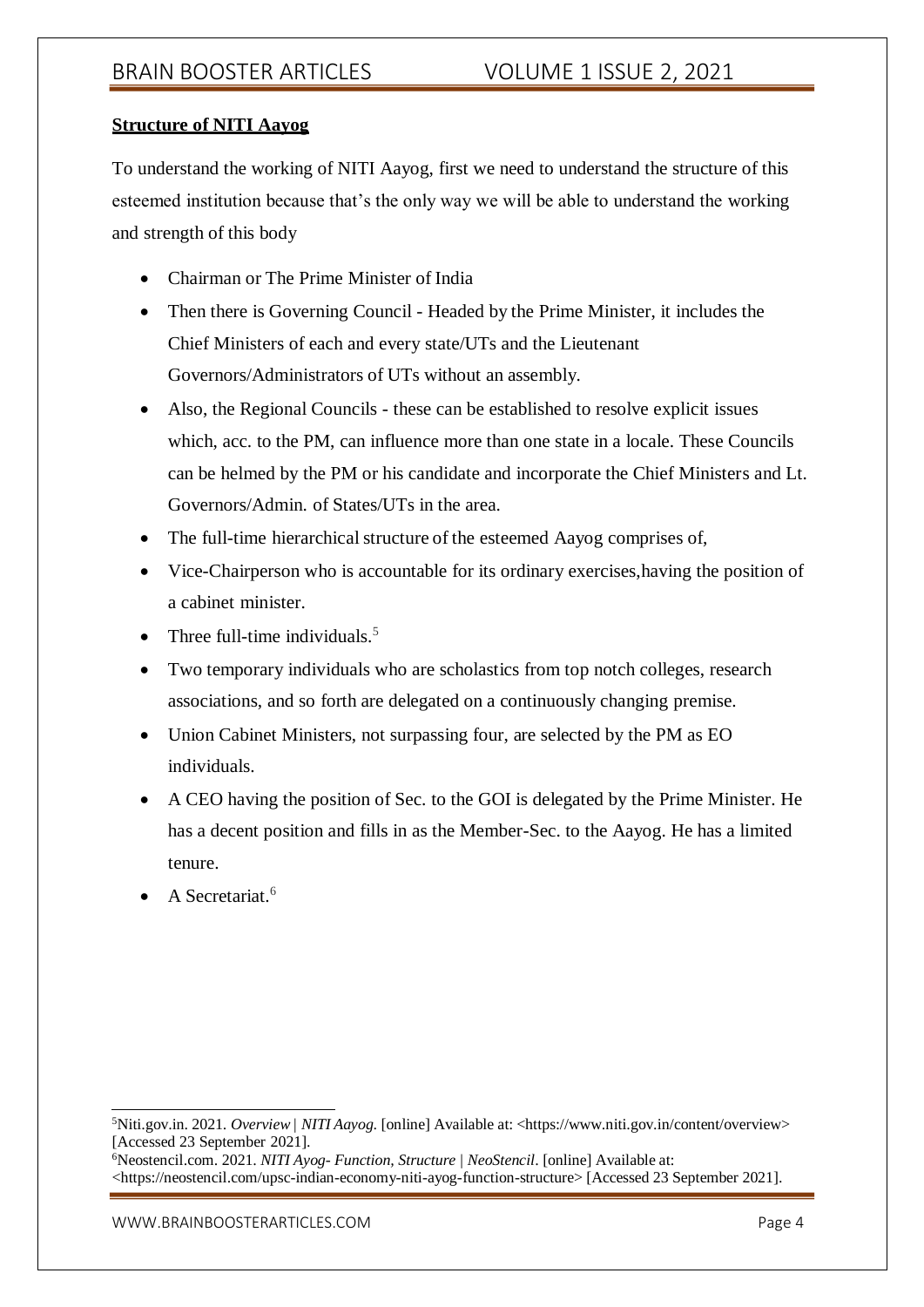# **Structure of NITI Aayog**

To understand the working of NITI Aayog, first we need to understand the structure of this esteemed institution because that's the only way we will be able to understand the working and strength of this body

- Chairman or The Prime Minister of India
- Then there is Governing Council Headed by the Prime Minister, it includes the Chief Ministers of each and every state/UTs and the Lieutenant Governors/Administrators of UTs without an assembly.
- Also, the Regional Councils these can be established to resolve explicit issues which, acc. to the PM, can influence more than one state in a locale. These Councils can be helmed by the PM or his candidate and incorporate the Chief Ministers and Lt. Governors/Admin. of States/UTs in the area.
- The full-time hierarchical structure of the esteemed Aayog comprises of,
- Vice-Chairperson who is accountable for its ordinary exercises,having the position of a cabinet minister.
- Three full-time individuals.<sup>5</sup>
- Two temporary individuals who are scholastics from top notch colleges, research associations, and so forth are delegated on a continuously changing premise.
- Union Cabinet Ministers, not surpassing four, are selected by the PM as EO individuals.
- A CEO having the position of Sec. to the GOI is delegated by the Prime Minister. He has a decent position and fills in as the Member-Sec. to the Aayog. He has a limited tenure.
- A Secretariat.<sup>6</sup>

<sup>5</sup>Niti.gov.in. 2021. *Overview| NITI Aayog*. [online] Available at: <https:/[/www.niti.gov.in/content/overview>](http://www.niti.gov.in/content/overview) [Accessed 23 September 2021].

<sup>6</sup>Neostencil.com. 2021. *NITI Ayog- Function, Structure | NeoStencil*. [online] Available at:

<sup>&</sup>lt;https://neostencil.com/upsc-indian-economy-niti-ayog-function-structure> [Accessed 23 September 2021].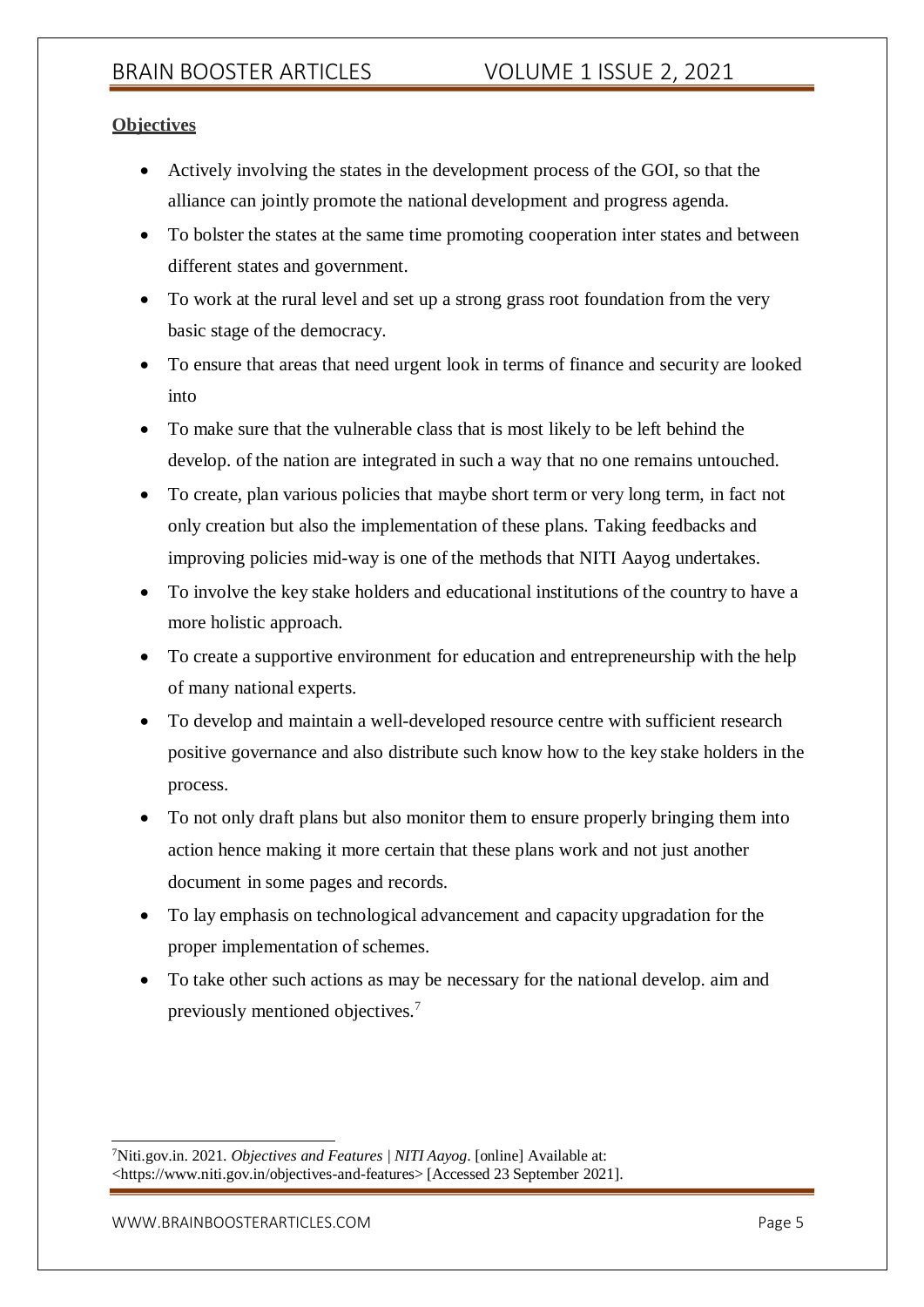# **Objectives**

- Actively involving the states in the development process of the GOI, so that the alliance can jointly promote the national development and progress agenda.
- To bolster the states at the same time promoting cooperation inter states and between different states and government.
- To work at the rural level and set up a strong grass root foundation from the very basic stage of the democracy.
- To ensure that areas that need urgent look in terms of finance and security are looked into
- To make sure that the vulnerable class that is most likely to be left behind the develop. of the nation are integrated in such a way that no one remains untouched.
- To create, plan various policies that maybe short term or very long term, in fact not only creation but also the implementation of these plans. Taking feedbacks and improving policies mid-way is one of the methods that NITI Aayog undertakes.
- To involve the key stake holders and educational institutions of the country to have a more holistic approach.
- To create a supportive environment for education and entrepreneurship with the help of many national experts.
- To develop and maintain a well-developed resource centre with sufficient research positive governance and also distribute such know how to the key stake holders in the process.
- To not only draft plans but also monitor them to ensure properly bringing them into action hence making it more certain that these plans work and not just another document in some pages and records.
- To lay emphasis on technological advancement and capacity upgradation for the proper implementation of schemes.
- To take other such actions as may be necessary for the national develop. aim and previously mentioned objectives.<sup>7</sup>

<sup>7</sup>Niti.gov.in. 2021. *Objectives and Features | NITI Aayog*. [online] Available at: <https:[//www.niti.gov.in/objectives-and-features>](http://www.niti.gov.in/objectives-and-features) [Accessed 23 September 2021].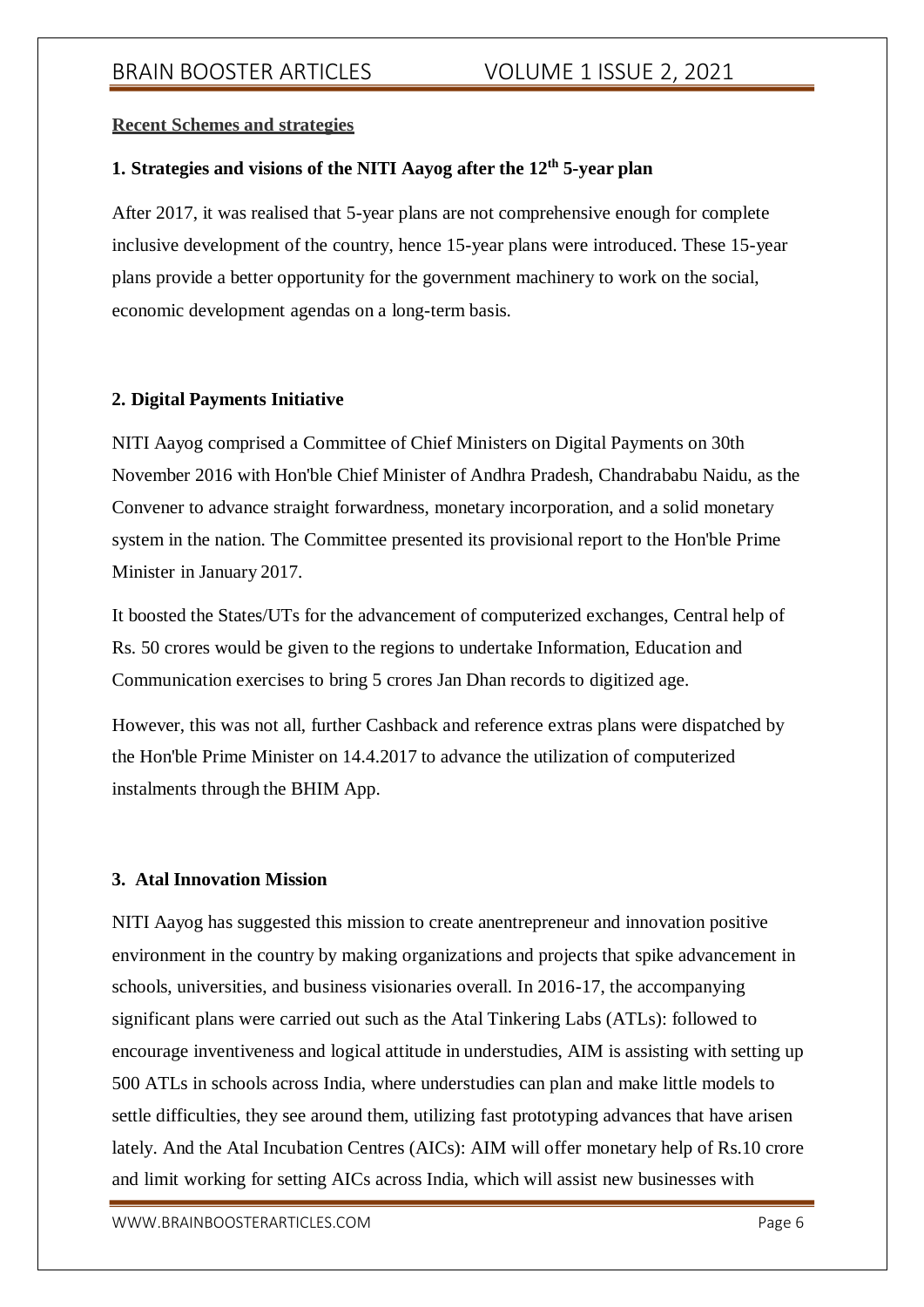### **Recent Schemes and strategies**

# **1. Strategies and visions of the NITI Aayog after the 12th 5-year plan**

After 2017, it was realised that 5-year plans are not comprehensive enough for complete inclusive development of the country, hence 15-year plans were introduced. These 15-year plans provide a better opportunity for the government machinery to work on the social, economic development agendas on a long-term basis.

### **2. Digital Payments Initiative**

NITI Aayog comprised a Committee of Chief Ministers on Digital Payments on 30th November 2016 with Hon'ble Chief Minister of Andhra Pradesh, Chandrababu Naidu, as the Convener to advance straight forwardness, monetary incorporation, and a solid monetary system in the nation. The Committee presented its provisional report to the Hon'ble Prime Minister in January 2017.

It boosted the States/UTs for the advancement of computerized exchanges, Central help of Rs. 50 crores would be given to the regions to undertake Information, Education and Communication exercises to bring 5 crores Jan Dhan records to digitized age.

However, this was not all, further Cashback and reference extras plans were dispatched by the Hon'ble Prime Minister on 14.4.2017 to advance the utilization of computerized instalments through the BHIM App.

# **3. Atal Innovation Mission**

NITI Aayog has suggested this mission to create anentrepreneur and innovation positive environment in the country by making organizations and projects that spike advancement in schools, universities, and business visionaries overall. In 2016-17, the accompanying significant plans were carried out such as the Atal Tinkering Labs (ATLs): followed to encourage inventiveness and logical attitude in understudies, AIM is assisting with setting up 500 ATLs in schools across India, where understudies can plan and make little models to settle difficulties, they see around them, utilizing fast prototyping advances that have arisen lately. And the Atal Incubation Centres (AICs): AIM will offer monetary help of Rs.10 crore and limit working for setting AICs across India, which will assist new businesses with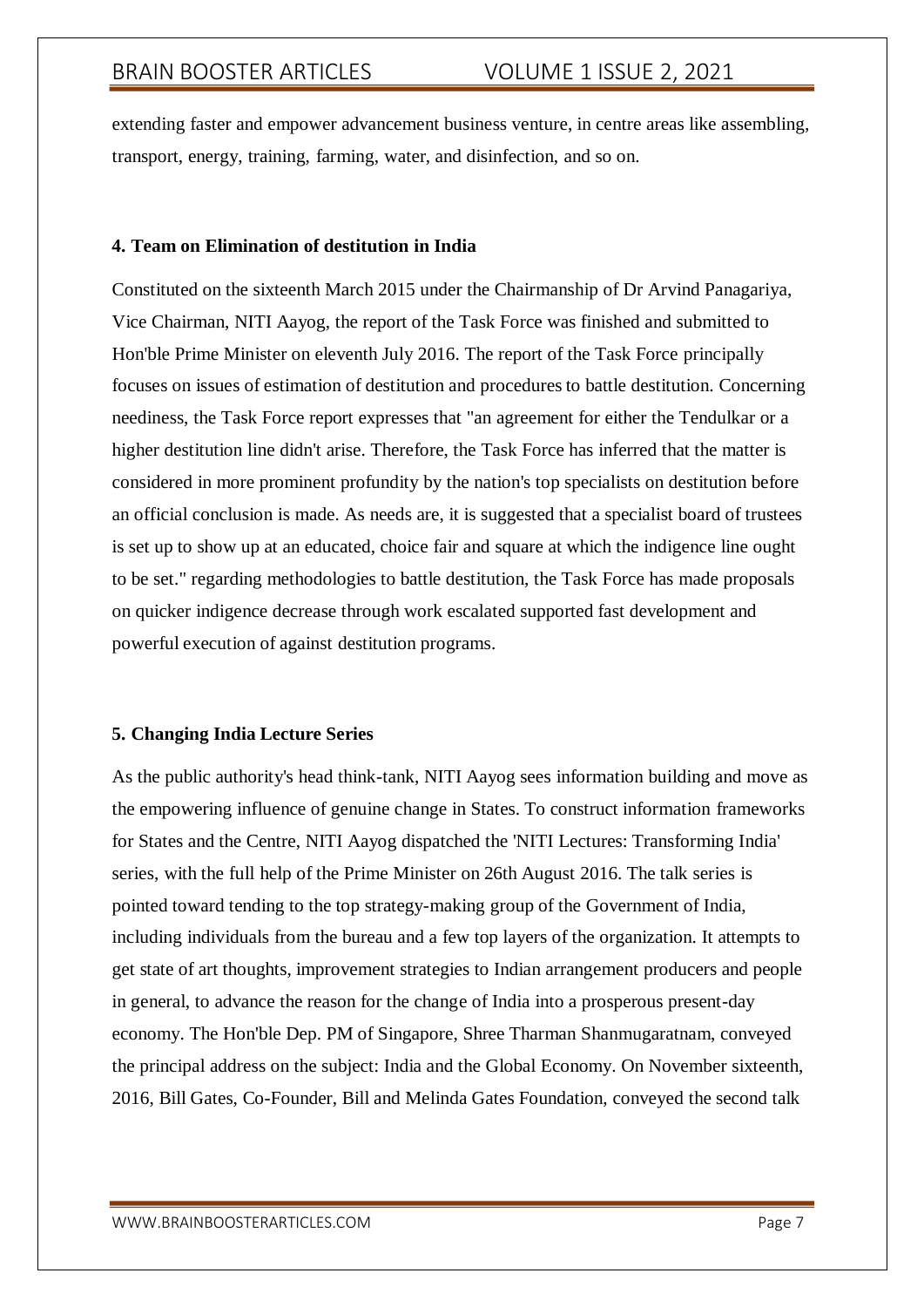extending faster and empower advancement business venture, in centre areas like assembling, transport, energy, training, farming, water, and disinfection, and so on.

## **4. Team on Elimination of destitution in India**

Constituted on the sixteenth March 2015 under the Chairmanship of Dr Arvind Panagariya, Vice Chairman, NITI Aayog, the report of the Task Force was finished and submitted to Hon'ble Prime Minister on eleventh July 2016. The report of the Task Force principally focuses on issues of estimation of destitution and procedures to battle destitution. Concerning neediness, the Task Force report expresses that "an agreement for either the Tendulkar or a higher destitution line didn't arise. Therefore, the Task Force has inferred that the matter is considered in more prominent profundity by the nation's top specialists on destitution before an official conclusion is made. As needs are, it is suggested that a specialist board of trustees is set up to show up at an educated, choice fair and square at which the indigence line ought to be set." regarding methodologies to battle destitution, the Task Force has made proposals on quicker indigence decrease through work escalated supported fast development and powerful execution of against destitution programs.

### **5. Changing India Lecture Series**

As the public authority's head think-tank, NITI Aayog sees information building and move as the empowering influence of genuine change in States. To construct information frameworks for States and the Centre, NITI Aayog dispatched the 'NITI Lectures: Transforming India' series, with the full help of the Prime Minister on 26th August 2016. The talk series is pointed toward tending to the top strategy-making group of the Government of India, including individuals from the bureau and a few top layers of the organization. It attempts to get state of art thoughts, improvement strategies to Indian arrangement producers and people in general, to advance the reason for the change of India into a prosperous present-day economy. The Hon'ble Dep. PM of Singapore, Shree Tharman Shanmugaratnam, conveyed the principal address on the subject: India and the Global Economy. On November sixteenth, 2016, Bill Gates, Co-Founder, Bill and Melinda Gates Foundation, conveyed the second talk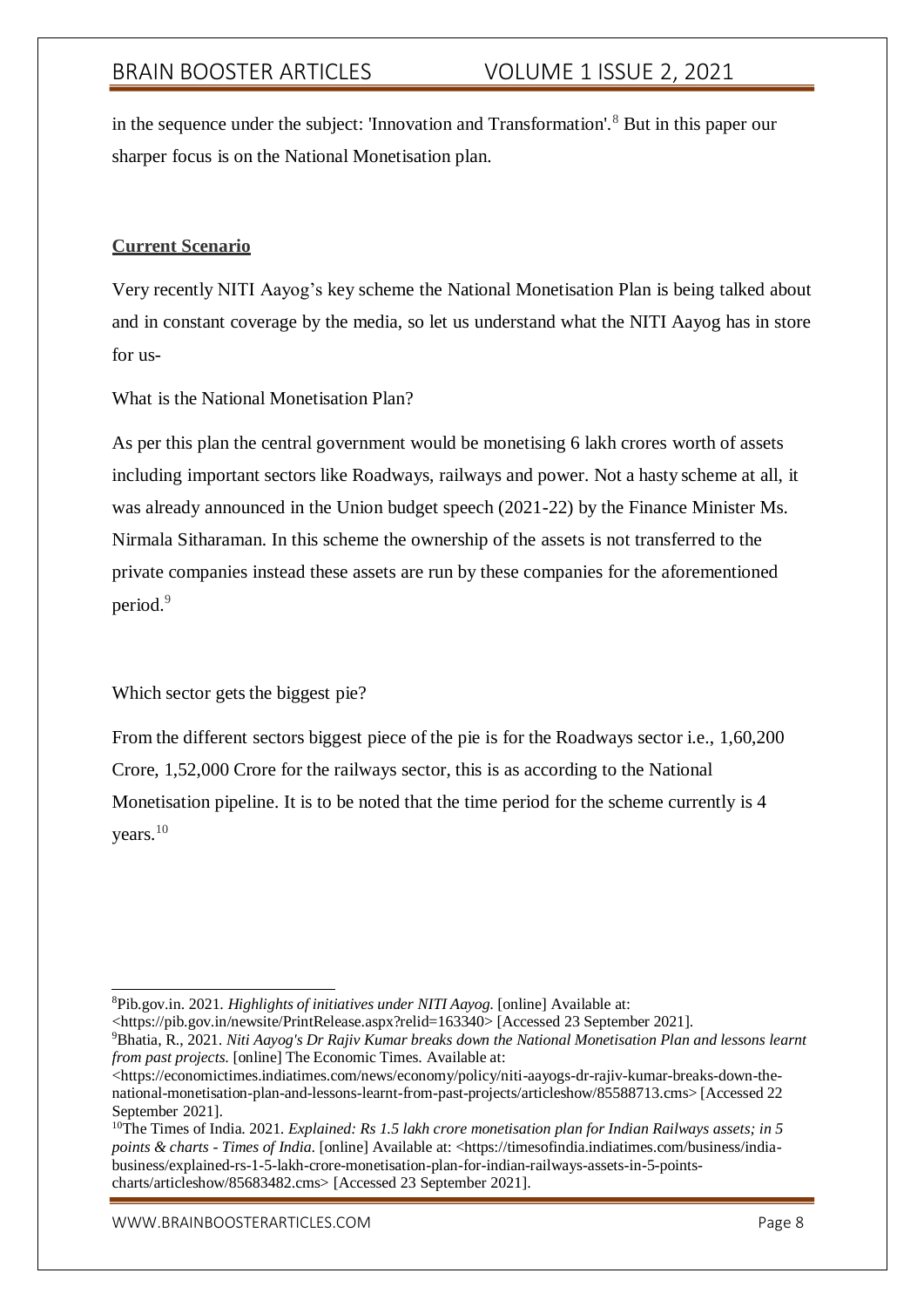in the sequence under the subject: 'Innovation and Transformation'.<sup>8</sup> But in this paper our sharper focus is on the National Monetisation plan.

# **Current Scenario**

Very recently NITI Aayog's key scheme the National Monetisation Plan is being talked about and in constant coverage by the media, so let us understand what the NITI Aayog has in store for us-

What is the National Monetisation Plan?

As per this plan the central government would be monetising 6 lakh crores worth of assets including important sectors like Roadways, railways and power. Not a hasty scheme at all, it was already announced in the Union budget speech (2021-22) by the Finance Minister Ms. Nirmala Sitharaman. In this scheme the ownership of the assets is not transferred to the private companies instead these assets are run by these companies for the aforementioned period.<sup>9</sup>

Which sector gets the biggest pie?

From the different sectors biggest piece of the pie is for the Roadways sector i.e., 1,60,200 Crore, 1,52,000 Crore for the railways sector, this is as according to the National Monetisation pipeline. It is to be noted that the time period for the scheme currently is 4 years.<sup>10</sup>

<https://pib.gov.in/newsite/PrintRelease.aspx?relid=163340> [Accessed 23 September 2021].

<sup>10</sup>The Times of India. 2021. *Explained: Rs 1.5 lakh crore monetisation plan for Indian Railways assets; in 5 points & charts - Times of India*. [online] Available at: <https://timesofindia.indiatimes.com/business/indiabusiness/explained-rs-1-5-lakh-crore-monetisation-plan-for-indian-railways-assets-in-5-pointscharts/articleshow/85683482.cms> [Accessed 23 September 2021].

<sup>8</sup>Pib.gov.in. 2021. *Highlights of initiatives under NITI Aayog*. [online] Available at:

<sup>9</sup>Bhatia, R., 2021. *Niti Aayog's Dr Rajiv Kumar breaks down the National Monetisation Plan and lessons learnt from past projects*. [online] The Economic Times. Available at:

<sup>&</sup>lt;https://economictimes.indiatimes.com/news/economy/policy/niti-aayogs-dr-rajiv-kumar-breaks-down-thenational-monetisation-plan-and-lessons-learnt-from-past-projects/articleshow/85588713.cms> [Accessed 22 September 2021].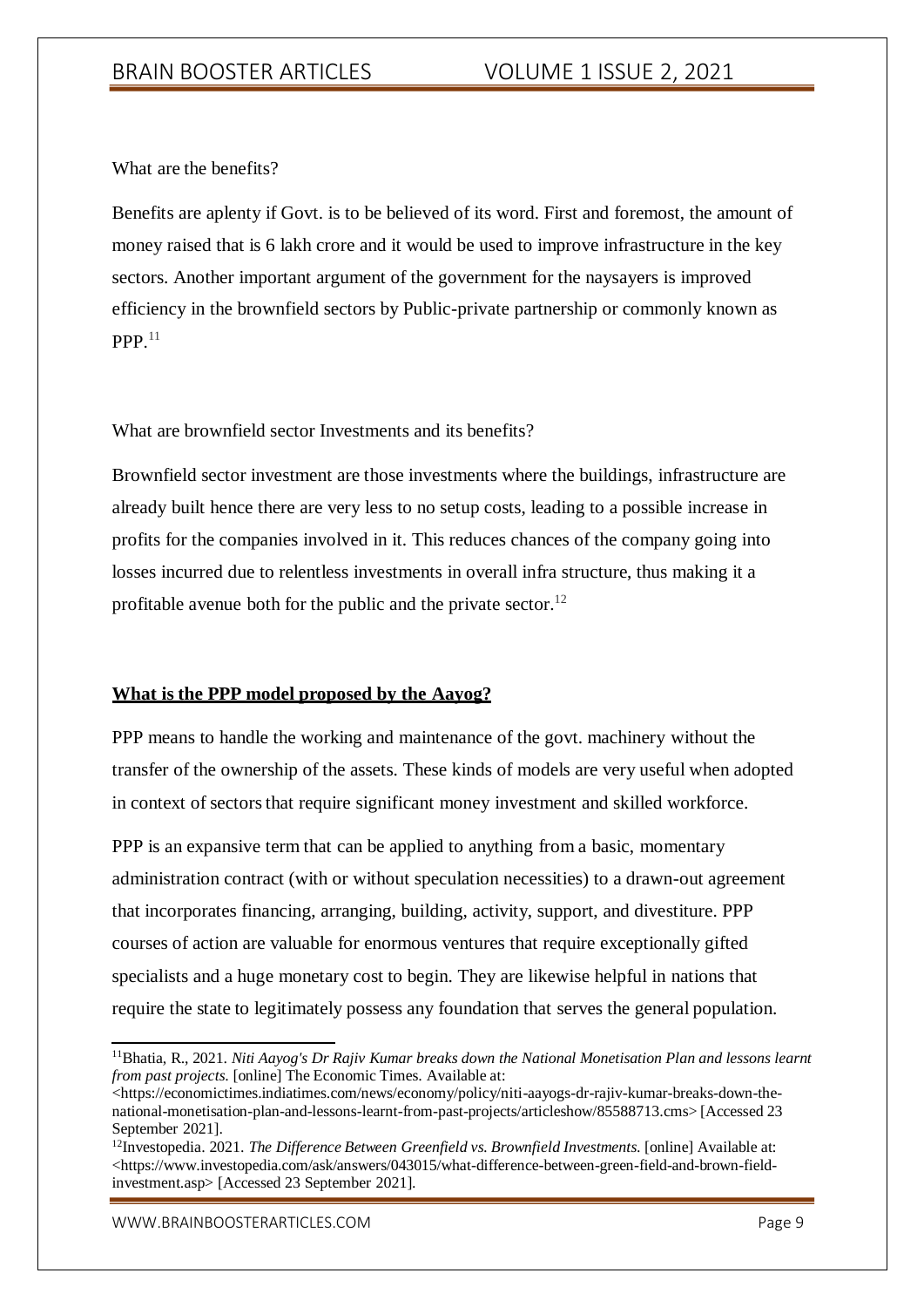What are the benefits?

Benefits are aplenty if Govt. is to be believed of its word. First and foremost, the amount of money raised that is 6 lakh crore and it would be used to improve infrastructure in the key sectors. Another important argument of the government for the naysayers is improved efficiency in the brownfield sectors by Public-private partnership or commonly known as  $PPP<sup>11</sup>$ 

What are brownfield sector Investments and its benefits?

Brownfield sector investment are those investments where the buildings, infrastructure are already built hence there are very less to no setup costs, leading to a possible increase in profits for the companies involved in it. This reduces chances of the company going into losses incurred due to relentless investments in overall infra structure, thus making it a profitable avenue both for the public and the private sector.<sup>12</sup>

# **What is the PPP model proposed by the Aayog?**

PPP means to handle the working and maintenance of the govt. machinery without the transfer of the ownership of the assets. These kinds of models are very useful when adopted in context of sectors that require significant money investment and skilled workforce.

PPP is an expansive term that can be applied to anything from a basic, momentary administration contract (with or without speculation necessities) to a drawn-out agreement that incorporates financing, arranging, building, activity, support, and divestiture. PPP courses of action are valuable for enormous ventures that require exceptionally gifted specialists and a huge monetary cost to begin. They are likewise helpful in nations that require the state to legitimately possess any foundation that serves the general population.

<sup>11</sup>Bhatia, R., 2021. *Niti Aayog's Dr Rajiv Kumar breaks down the National Monetisation Plan and lessons learnt from past projects*. [online] The Economic Times. Available at:

<sup>&</sup>lt;https://economictimes.indiatimes.com/news/economy/policy/niti-aayogs-dr-rajiv-kumar-breaks-down-thenational-monetisation-plan-and-lessons-learnt-from-past-projects/articleshow/85588713.cms> [Accessed 23 September 2021].

<sup>12</sup>Investopedia. 2021. *The Difference Between Greenfield vs. Brownfield Investments*. [online] Available at: <https:/[/www.investopedia.com/ask/answers/043015/what-difference-between-green-field-and-brown-field](http://www.investopedia.com/ask/answers/043015/what-difference-between-green-field-and-brown-field-)investment.asp> [Accessed 23 September 2021].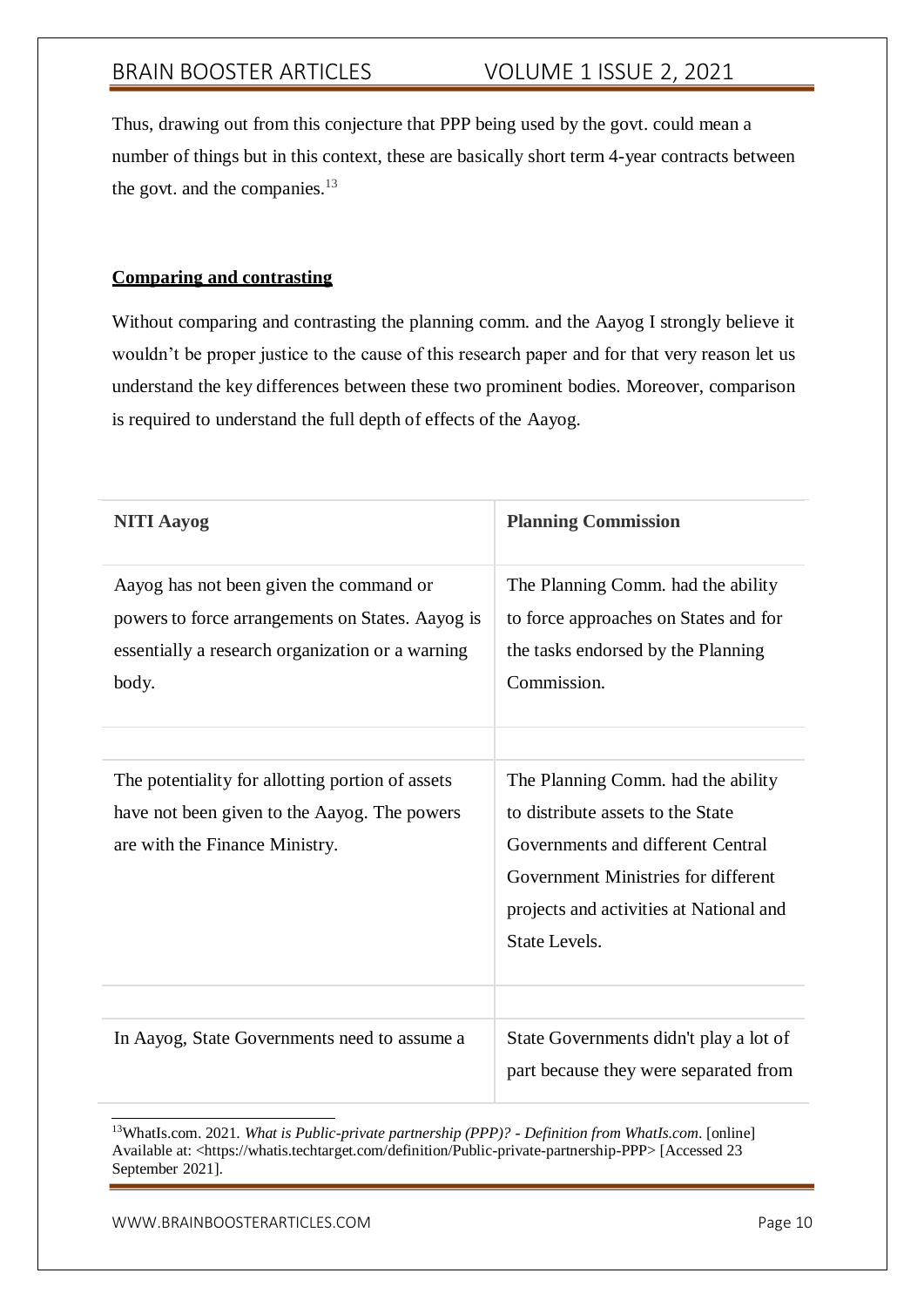Thus, drawing out from this conjecture that PPP being used by the govt. could mean a number of things but in this context, these are basically short term 4-year contracts between the govt. and the companies.<sup>13</sup>

### **Comparing and contrasting**

Without comparing and contrasting the planning comm. and the Aayog I strongly believe it wouldn't be proper justice to the cause of this research paper and for that very reason let us understand the key differences between these two prominent bodies. Moreover, comparison is required to understand the full depth of effects of the Aayog.

| <b>NITI Aayog</b>                                                                                                                                        | <b>Planning Commission</b>                                                                                                                                                                                      |
|----------------------------------------------------------------------------------------------------------------------------------------------------------|-----------------------------------------------------------------------------------------------------------------------------------------------------------------------------------------------------------------|
| Aayog has not been given the command or<br>powers to force arrangements on States. Aayog is<br>essentially a research organization or a warning<br>body. | The Planning Comm. had the ability<br>to force approaches on States and for<br>the tasks endorsed by the Planning<br>Commission.                                                                                |
| The potentiality for allotting portion of assets<br>have not been given to the Aayog. The powers<br>are with the Finance Ministry.                       | The Planning Comm. had the ability<br>to distribute assets to the State<br>Governments and different Central<br>Government Ministries for different<br>projects and activities at National and<br>State Levels. |
| In Aayog, State Governments need to assume a                                                                                                             | State Governments didn't play a lot of<br>part because they were separated from                                                                                                                                 |

<sup>13</sup>WhatIs.com. 2021. *What is Public-private partnership (PPP)? - Definition from WhatIs.com*. [online] Available at: <https://whatis.techtarget.com/definition/Public-private-partnership-PPP> [Accessed 23 September 2021].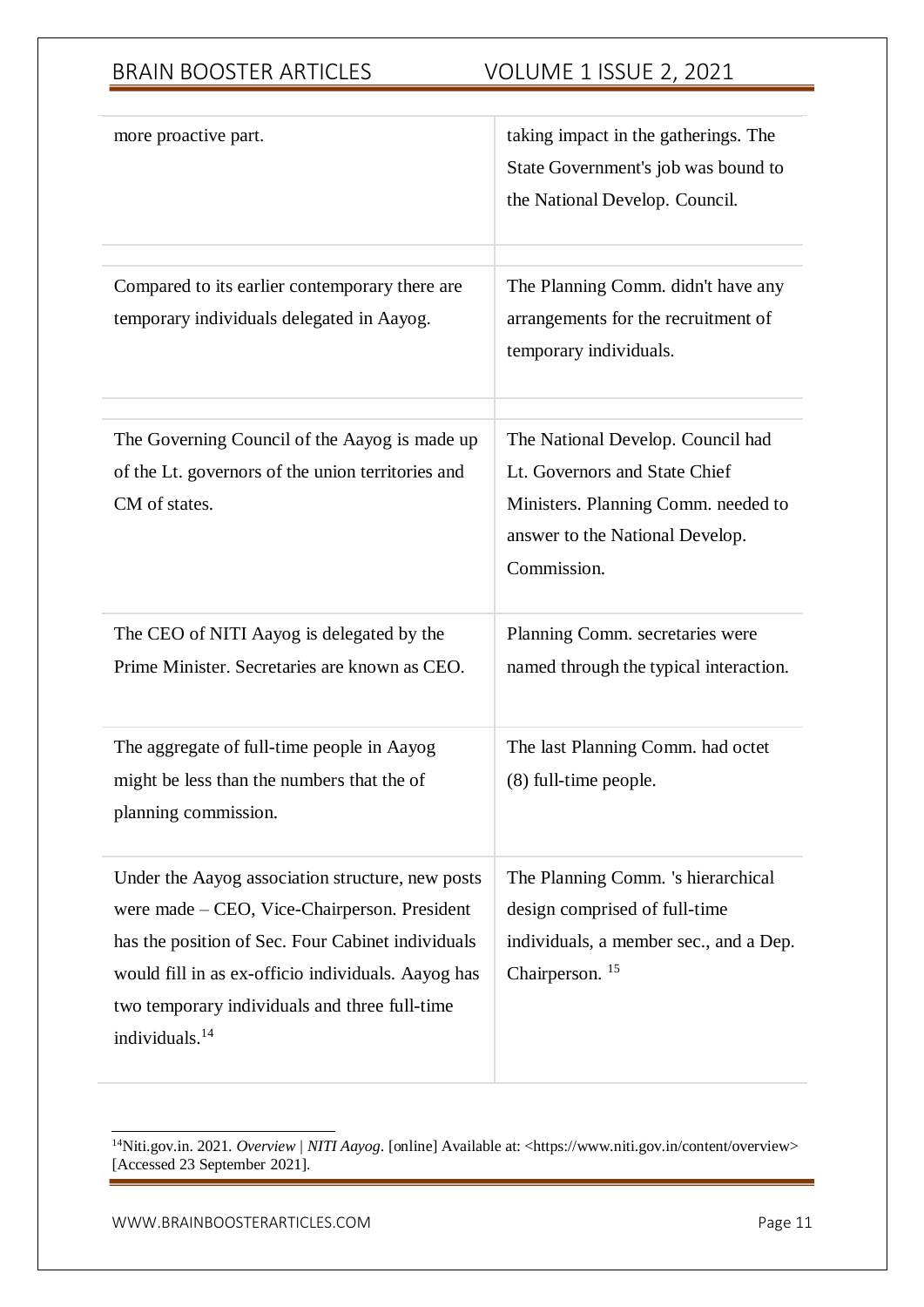| more proactive part.                                                                                                                                                                                                                                                                       | taking impact in the gatherings. The<br>State Government's job was bound to<br>the National Develop. Council.                                               |
|--------------------------------------------------------------------------------------------------------------------------------------------------------------------------------------------------------------------------------------------------------------------------------------------|-------------------------------------------------------------------------------------------------------------------------------------------------------------|
| Compared to its earlier contemporary there are<br>temporary individuals delegated in Aayog.                                                                                                                                                                                                | The Planning Comm. didn't have any<br>arrangements for the recruitment of<br>temporary individuals.                                                         |
| The Governing Council of the Aayog is made up<br>of the Lt. governors of the union territories and<br>CM of states.                                                                                                                                                                        | The National Develop. Council had<br>Lt. Governors and State Chief<br>Ministers. Planning Comm. needed to<br>answer to the National Develop.<br>Commission. |
| The CEO of NITI Aayog is delegated by the<br>Prime Minister. Secretaries are known as CEO.                                                                                                                                                                                                 | Planning Comm. secretaries were<br>named through the typical interaction.                                                                                   |
| The aggregate of full-time people in Aayog<br>might be less than the numbers that the of<br>planning commission.                                                                                                                                                                           | The last Planning Comm. had octet<br>(8) full-time people.                                                                                                  |
| Under the Aayog association structure, new posts<br>were made – CEO, Vice-Chairperson. President<br>has the position of Sec. Four Cabinet individuals<br>would fill in as ex-officio individuals. Aayog has<br>two temporary individuals and three full-time<br>individuals. <sup>14</sup> | The Planning Comm. 's hierarchical<br>design comprised of full-time<br>individuals, a member sec., and a Dep.<br>Chairperson. <sup>15</sup>                 |

<sup>14</sup>Niti.gov.in. 2021. *Overview | NITI Aayog*. [online] Available at: <https:/[/www.niti.gov.in/content/overview>](http://www.niti.gov.in/content/overview) [Accessed 23 September 2021].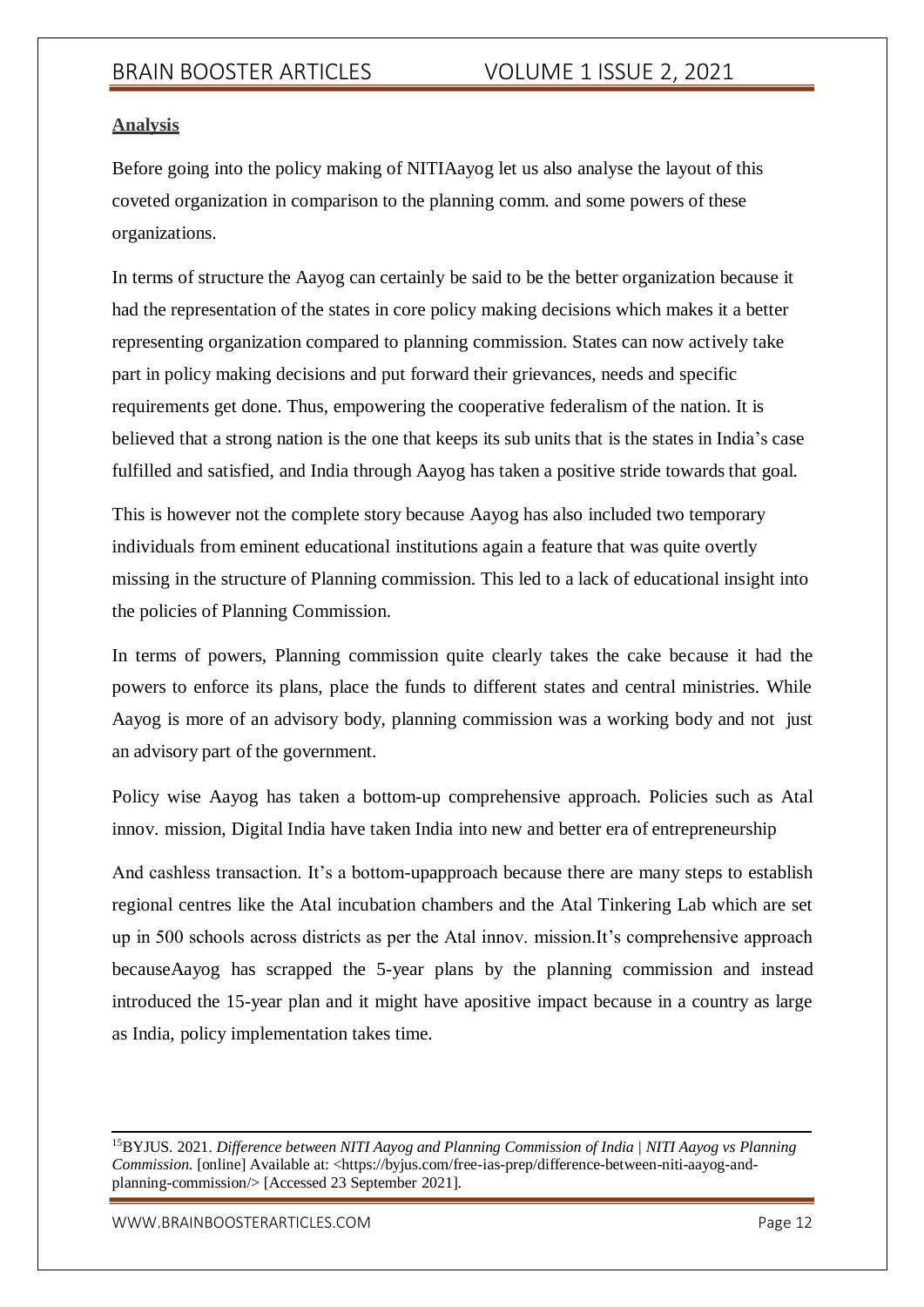# **Analysis**

Before going into the policy making of NITIAayog let us also analyse the layout of this coveted organization in comparison to the planning comm. and some powers of these organizations.

In terms of structure the Aayog can certainly be said to be the better organization because it had the representation of the states in core policy making decisions which makes it a better representing organization compared to planning commission. States can now actively take part in policy making decisions and put forward their grievances, needs and specific requirements get done. Thus, empowering the cooperative federalism of the nation. It is believed that a strong nation is the one that keeps its sub units that is the states in India's case fulfilled and satisfied, and India through Aayog has taken a positive stride towards that goal.

This is however not the complete story because Aayog has also included two temporary individuals from eminent educational institutions again a feature that was quite overtly missing in the structure of Planning commission. This led to a lack of educational insight into the policies of Planning Commission.

In terms of powers, Planning commission quite clearly takes the cake because it had the powers to enforce its plans, place the funds to different states and central ministries. While Aayog is more of an advisory body, planning commission was a working body and not just an advisory part of the government.

Policy wise Aayog has taken a bottom-up comprehensive approach. Policies such as Atal innov. mission, Digital India have taken India into new and better era of entrepreneurship

And cashless transaction. It's a bottom-upapproach because there are many steps to establish regional centres like the Atal incubation chambers and the Atal Tinkering Lab which are set up in 500 schools across districts as per the Atal innov. mission.It's comprehensive approach becauseAayog has scrapped the 5-year plans by the planning commission and instead introduced the 15-year plan and it might have apositive impact because in a country as large as India, policy implementation takes time.

<sup>15</sup>BYJUS. 2021. *Difference between NITI Aayog and Planning Commission of India | NITI Aayog vs Planning Commission*. [online] Available at: <https://byjus.com/free-ias-prep/difference-between-niti-aayog-andplanning-commission/> [Accessed 23 September 2021].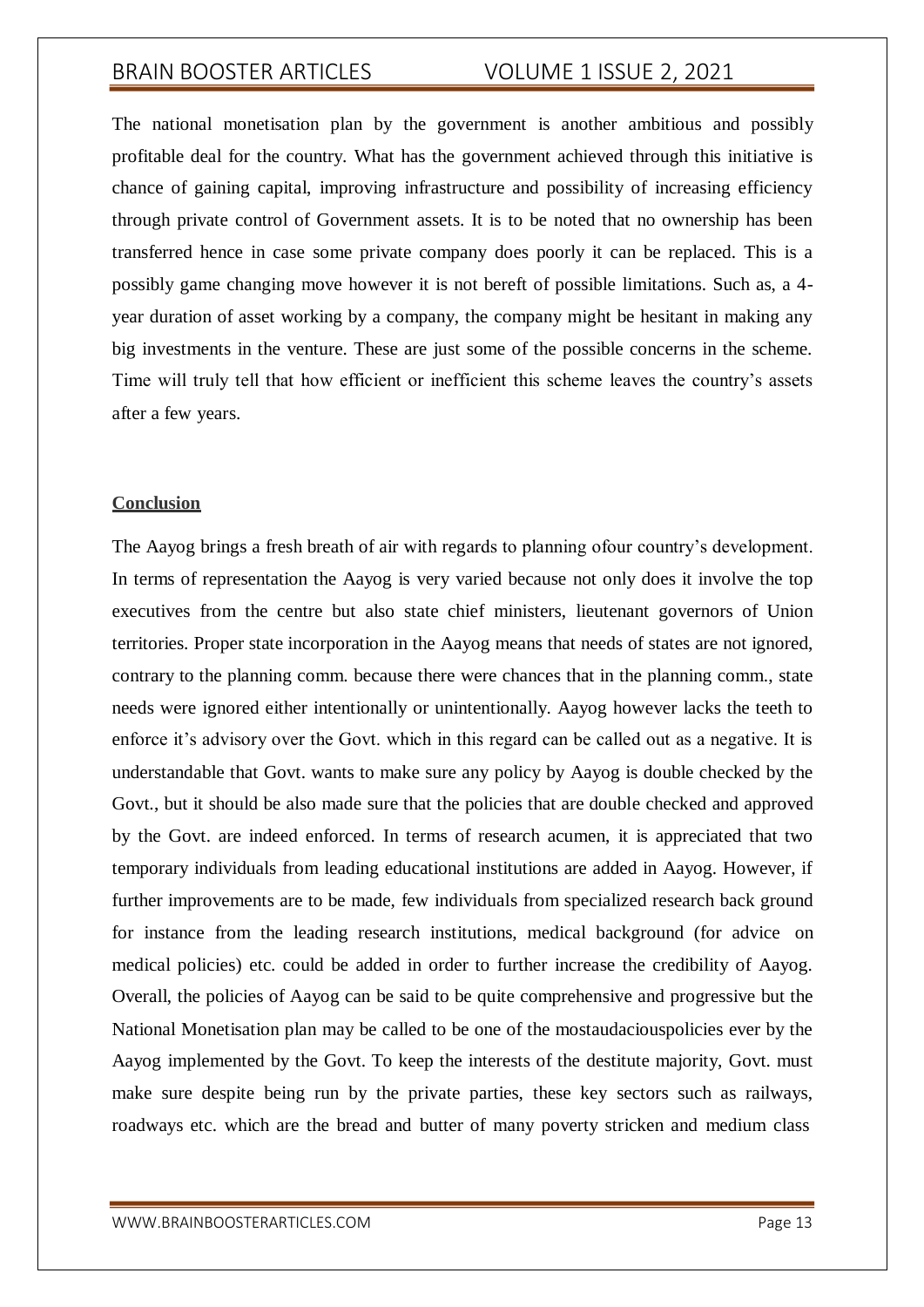The national monetisation plan by the government is another ambitious and possibly profitable deal for the country. What has the government achieved through this initiative is chance of gaining capital, improving infrastructure and possibility of increasing efficiency through private control of Government assets. It is to be noted that no ownership has been transferred hence in case some private company does poorly it can be replaced. This is a possibly game changing move however it is not bereft of possible limitations. Such as, a 4 year duration of asset working by a company, the company might be hesitant in making any big investments in the venture. These are just some of the possible concerns in the scheme. Time will truly tell that how efficient or inefficient this scheme leaves the country's assets after a few years.

# **Conclusion**

The Aayog brings a fresh breath of air with regards to planning ofour country's development. In terms of representation the Aayog is very varied because not only does it involve the top executives from the centre but also state chief ministers, lieutenant governors of Union territories. Proper state incorporation in the Aayog means that needs of states are not ignored, contrary to the planning comm. because there were chances that in the planning comm., state needs were ignored either intentionally or unintentionally. Aayog however lacks the teeth to enforce it's advisory over the Govt. which in this regard can be called out as a negative. It is understandable that Govt. wants to make sure any policy by Aayog is double checked by the Govt., but it should be also made sure that the policies that are double checked and approved by the Govt. are indeed enforced. In terms of research acumen, it is appreciated that two temporary individuals from leading educational institutions are added in Aayog. However, if further improvements are to be made, few individuals from specialized research back ground for instance from the leading research institutions, medical background (for advice on medical policies) etc. could be added in order to further increase the credibility of Aayog. Overall, the policies of Aayog can be said to be quite comprehensive and progressive but the National Monetisation plan may be called to be one of the mostaudaciouspolicies ever by the Aayog implemented by the Govt. To keep the interests of the destitute majority, Govt. must make sure despite being run by the private parties, these key sectors such as railways, roadways etc. which are the bread and butter of many poverty stricken and medium class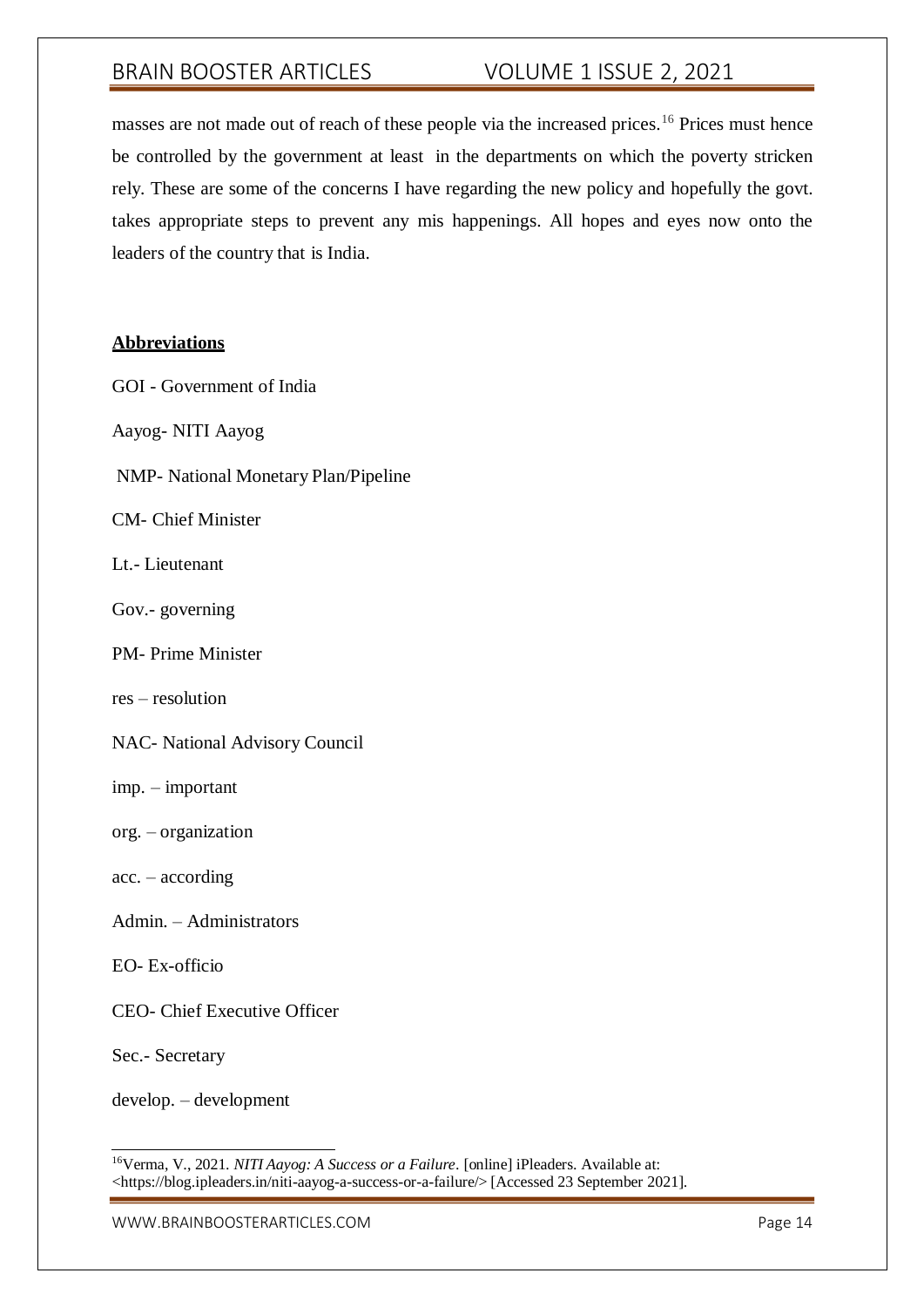masses are not made out of reach of these people via the increased prices.<sup>16</sup> Prices must hence be controlled by the government at least in the departments on which the poverty stricken rely. These are some of the concerns I have regarding the new policy and hopefully the govt. takes appropriate steps to prevent any mis happenings. All hopes and eyes now onto the leaders of the country that is India.

## **Abbreviations**

- GOI Government of India
- Aayog- NITI Aayog
- NMP- National Monetary Plan/Pipeline
- CM- Chief Minister
- Lt.- Lieutenant
- Gov.- governing
- PM- Prime Minister
- res resolution
- NAC- National Advisory Council
- imp. important
- org. organization
- acc. according
- Admin. Administrators
- EO- Ex-officio
- CEO- Chief Executive Officer
- Sec.- Secretary

develop. – development

<sup>16</sup>Verma, V., 2021. *NITI Aayog: A Success or a Failure*. [online] iPleaders. Available at: <https://blog.ipleaders.in/niti-aayog-a-success-or-a-failure/> [Accessed 23 September 2021].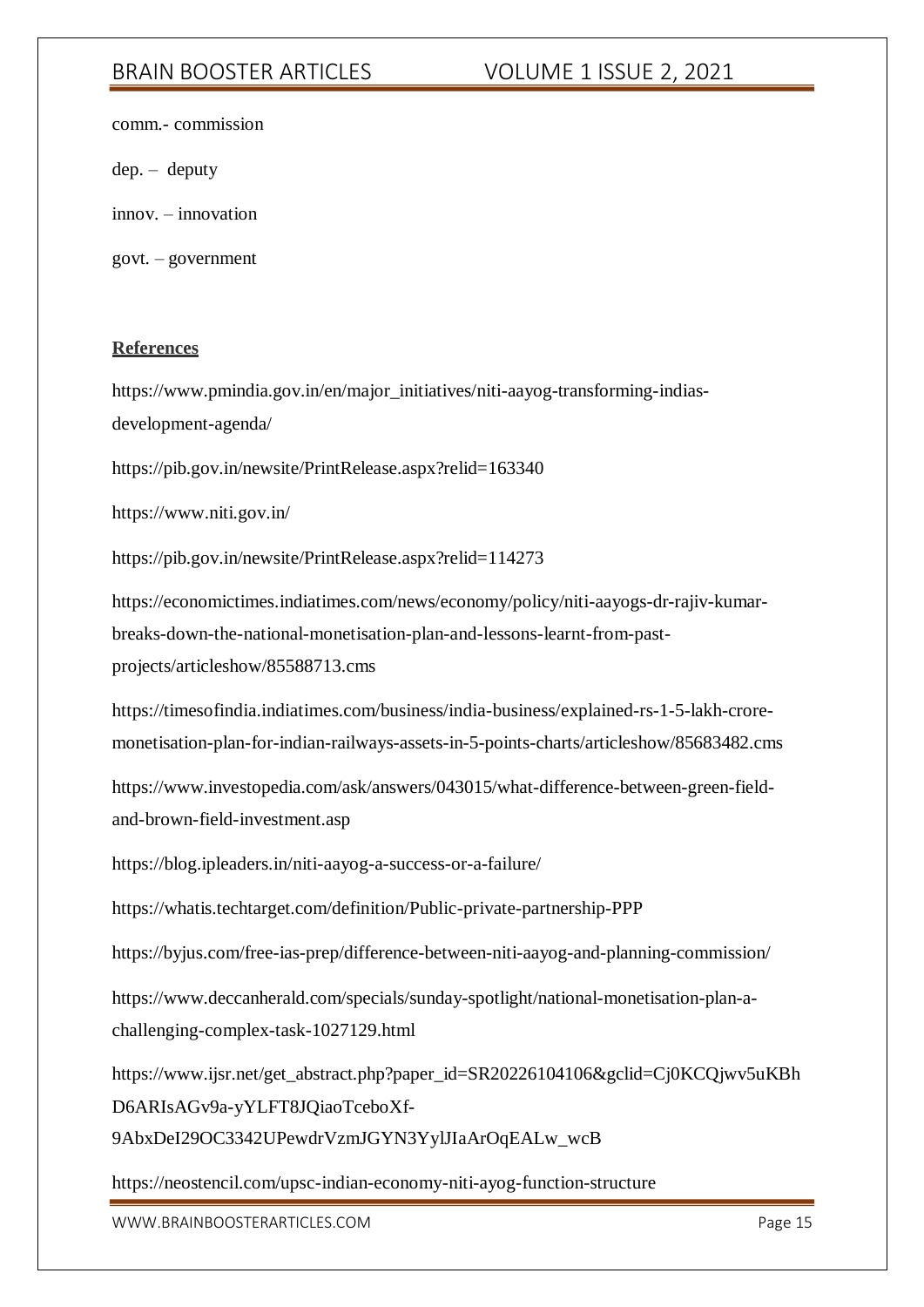comm.- commission

dep. – deputy

innov. – innovation

govt. – government

### **References**

https:[//www.pmindia.gov.in/en/major\\_initiatives/niti-aayog-transforming-indias](http://www.pmindia.gov.in/en/major_initiatives/niti-aayog-transforming-indias-)development-agenda/

https://pib.gov.in/newsite/PrintRelease.aspx?relid=163340

https:[//www.niti.gov.in/](http://www.niti.gov.in/)

https://pib.gov.in/newsite/PrintRelease.aspx?relid=114273

https://economictimes.indiatimes.com/news/economy/policy/niti-aayogs-dr-rajiv-kumarbreaks-down-the-national-monetisation-plan-and-lessons-learnt-from-pastprojects/articleshow/85588713.cms

https://timesofindia.indiatimes.com/business/india-business/explained-rs-1-5-lakh-croremonetisation-plan-for-indian-railways-assets-in-5-points-charts/articleshow/85683482.cms

https:[//www.investopedia.com/ask/answers/043015/what-difference-between-green-field](http://www.investopedia.com/ask/answers/043015/what-difference-between-green-field-)and-brown-field-investment.asp

https://blog.ipleaders.in/niti-aayog-a-success-or-a-failure/

https://whatis.techtarget.com/definition/Public-private-partnership-PPP

https://byjus.com/free-ias-prep/difference-between-niti-aayog-and-planning-commission/

https:/[/www.deccanherald.com/specials/sunday-spotlight/national-monetisation-plan-a](http://www.deccanherald.com/specials/sunday-spotlight/national-monetisation-plan-a-)challenging-complex-task-1027129.html

https:[//www.ijsr.net/get\\_abstract.php?paper\\_id=SR20226104106&gclid=Cj0KCQjwv5uKBh](http://www.ijsr.net/get_abstract.php?paper_id=SR20226104106&gclid=Cj0KCQjwv5uKBh) D6ARIsAGv9a-yYLFT8JQiaoTceboXf-

9AbxDeI29OC3342UPewdrVzmJGYN3YylJIaArOqEALw\_wcB

https://neostencil.com/upsc-indian-economy-niti-ayog-function-structure